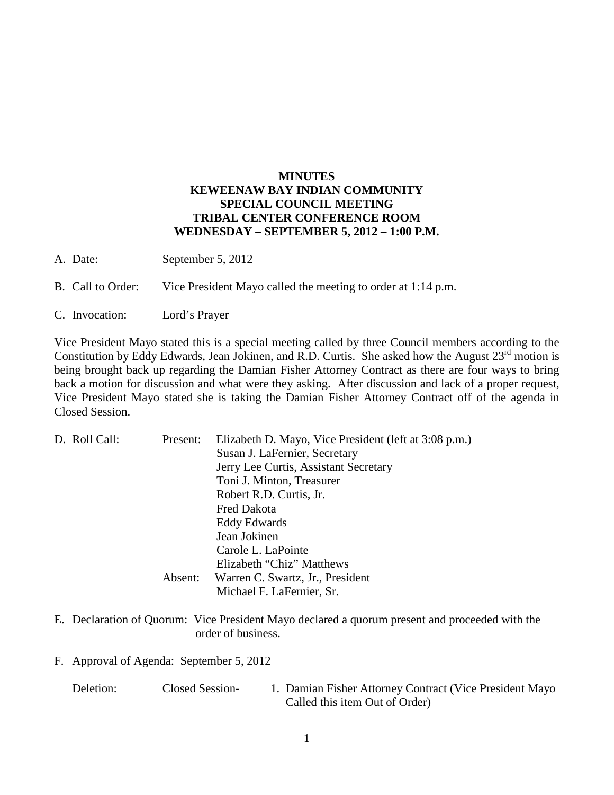## **MINUTES KEWEENAW BAY INDIAN COMMUNITY SPECIAL COUNCIL MEETING TRIBAL CENTER CONFERENCE ROOM WEDNESDAY – SEPTEMBER 5, 2012 – 1:00 P.M.**

- A. Date: September 5, 2012
- B. Call to Order: Vice President Mayo called the meeting to order at 1:14 p.m.
- C. Invocation: Lord's Prayer

Vice President Mayo stated this is a special meeting called by three Council members according to the Constitution by Eddy Edwards, Jean Jokinen, and R.D. Curtis. She asked how the August 23<sup>rd</sup> motion is being brought back up regarding the Damian Fisher Attorney Contract as there are four ways to bring back a motion for discussion and what were they asking. After discussion and lack of a proper request, Vice President Mayo stated she is taking the Damian Fisher Attorney Contract off of the agenda in Closed Session.

| D. Roll Call: | Present: | Elizabeth D. Mayo, Vice President (left at 3:08 p.m.) |
|---------------|----------|-------------------------------------------------------|
|               |          | Susan J. LaFernier, Secretary                         |
|               |          | Jerry Lee Curtis, Assistant Secretary                 |
|               |          | Toni J. Minton, Treasurer                             |
|               |          | Robert R.D. Curtis, Jr.                               |
|               |          | Fred Dakota                                           |
|               |          | Eddy Edwards                                          |
|               |          | Jean Jokinen                                          |
|               |          | Carole L. LaPointe                                    |
|               |          | Elizabeth "Chiz" Matthews                             |
|               | Absent:  | Warren C. Swartz, Jr., President                      |
|               |          | Michael F. LaFernier, Sr.                             |

- E. Declaration of Quorum: Vice President Mayo declared a quorum present and proceeded with the order of business.
- F. Approval of Agenda: September 5, 2012

| Deletion: | Closed Session- | 1. Damian Fisher Attorney Contract (Vice President Mayo |
|-----------|-----------------|---------------------------------------------------------|
|           |                 | Called this item Out of Order)                          |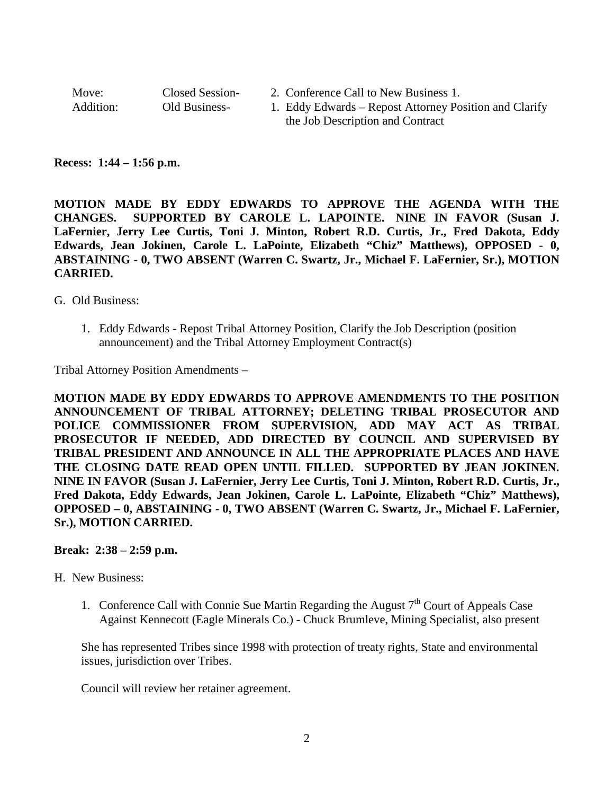| Move:     | Closed Session- | 2. Conference Call to New Business 1.                  |
|-----------|-----------------|--------------------------------------------------------|
| Addition: | Old Business-   | 1. Eddy Edwards – Repost Attorney Position and Clarify |
|           |                 | the Job Description and Contract                       |

## **Recess: 1:44 – 1:56 p.m.**

**MOTION MADE BY EDDY EDWARDS TO APPROVE THE AGENDA WITH THE CHANGES. SUPPORTED BY CAROLE L. LAPOINTE. NINE IN FAVOR (Susan J. LaFernier, Jerry Lee Curtis, Toni J. Minton, Robert R.D. Curtis, Jr., Fred Dakota, Eddy Edwards, Jean Jokinen, Carole L. LaPointe, Elizabeth "Chiz" Matthews), OPPOSED - 0, ABSTAINING - 0, TWO ABSENT (Warren C. Swartz, Jr., Michael F. LaFernier, Sr.), MOTION CARRIED.**

G. Old Business:

1. Eddy Edwards - Repost Tribal Attorney Position, Clarify the Job Description (position announcement) and the Tribal Attorney Employment Contract(s)

Tribal Attorney Position Amendments –

**MOTION MADE BY EDDY EDWARDS TO APPROVE AMENDMENTS TO THE POSITION ANNOUNCEMENT OF TRIBAL ATTORNEY; DELETING TRIBAL PROSECUTOR AND POLICE COMMISSIONER FROM SUPERVISION, ADD MAY ACT AS TRIBAL PROSECUTOR IF NEEDED, ADD DIRECTED BY COUNCIL AND SUPERVISED BY TRIBAL PRESIDENT AND ANNOUNCE IN ALL THE APPROPRIATE PLACES AND HAVE THE CLOSING DATE READ OPEN UNTIL FILLED. SUPPORTED BY JEAN JOKINEN. NINE IN FAVOR (Susan J. LaFernier, Jerry Lee Curtis, Toni J. Minton, Robert R.D. Curtis, Jr., Fred Dakota, Eddy Edwards, Jean Jokinen, Carole L. LaPointe, Elizabeth "Chiz" Matthews), OPPOSED – 0, ABSTAINING - 0, TWO ABSENT (Warren C. Swartz, Jr., Michael F. LaFernier, Sr.), MOTION CARRIED.**

**Break: 2:38 – 2:59 p.m.** 

## H. New Business:

1. Conference Call with Connie Sue Martin Regarding the August  $7<sup>th</sup>$  Court of Appeals Case Against Kennecott (Eagle Minerals Co.) - Chuck Brumleve, Mining Specialist, also present

She has represented Tribes since 1998 with protection of treaty rights, State and environmental issues, jurisdiction over Tribes.

Council will review her retainer agreement.